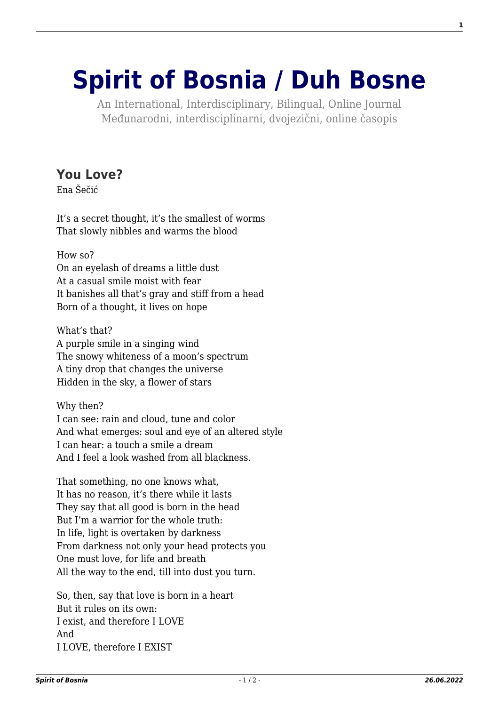## **[Spirit of Bosnia / Duh Bosne](http://www.spiritofbosnia.org/)**

An International, Interdisciplinary, Bilingual, Online Journal Međunarodni, interdisciplinarni, dvojezični, online časopis

## **[You Love?](http://www.spiritofbosnia.org/volume-4-no-2-2009-april/you-love/)**

Ena Šečić

It's a secret thought, it's the smallest of worms That slowly nibbles and warms the blood

How so? On an eyelash of dreams a little dust At a casual smile moist with fear It banishes all that's gray and stiff from a head Born of a thought, it lives on hope

What's that? A purple smile in a singing wind The snowy whiteness of a moon's spectrum A tiny drop that changes the universe Hidden in the sky, a flower of stars

Why then? I can see: rain and cloud, tune and color And what emerges: soul and eye of an altered style I can hear: a touch a smile a dream And I feel a look washed from all blackness.

That something, no one knows what, It has no reason, it's there while it lasts They say that all good is born in the head But I'm a warrior for the whole truth: In life, light is overtaken by darkness From darkness not only your head protects you One must love, for life and breath All the way to the end, till into dust you turn.

So, then, say that love is born in a heart But it rules on its own: I exist, and therefore I LOVE And I LOVE, therefore I EXIST